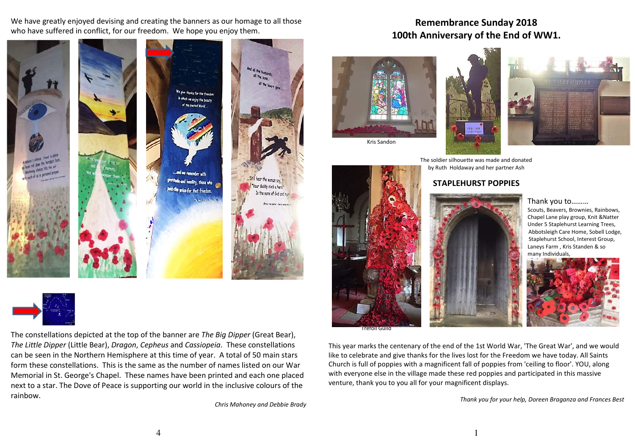We have greatly enjoyed devising and creating the banners as our homage to all those who have suffered in conflict, for our freedom. We hope you enjoy them.

## <sup>le</sup> give thonks for the freed in which we enjoy the beachy of the prested World .Still hear the woman say, gratitude and humility, those who "Your daddy died a hero" paid the price for that freedom. In the name of God and mon-**Northernes**



The constellations depicted at the top of the banner are *The Big Dipper* (Great Bear), *The Little Dipper* (Little Bear), *Dragon*, *Cepheus* and *Cassiopeia*. These constellations can be seen in the Northern Hemisphere at this time of year. A total of 50 main stars form these constellations. This is the same as the number of names listed on our War Memorial in St. George's Chapel. These names have been printed and each one placed next to a star. The Dove of Peace is supporting our world in the inclusive colours of the rainbow.

*Chris Mahoney and Debbie Brady*

## **Remembrance Sunday 2018100th Anniversary of the End of WW1.**



Kris Sandon







The soldier silhouette was made and donated by Ruth Holdaway and her partner Ash

## **STAPLEHURST POPPIES**



Thank you to………

 Scouts, Beavers, Brownies, Rainbows, Chapel Lane play group, Knit &Natter Under 5 Staplehurst Learning Trees, Abbotsleigh Care Home, Sobell Lodge, Staplehurst School, Interest Group, Laneys Farm , Kris Standen & so many Individuals,



This year marks the centenary of the end of the 1st World War, 'The Great War', and we would like to celebrate and give thanks for the lives lost for the Freedom we have today. All Saints Church is full of poppies with a magnificent fall of poppies from 'ceiling to floor'. YOU, along with everyone else in the village made these red poppies and participated in this massive venture, thank you to you all for your magnificent displays.

*Thank you for your help, Doreen Braganza and Frances Best*